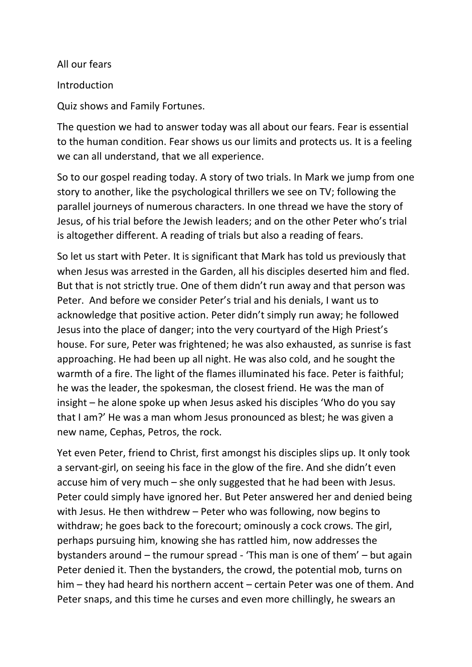All our fears **Introduction** Quiz shows and Family Fortunes.

The question we had to answer today was all about our fears. Fear is essential to the human condition. Fear shows us our limits and protects us. It is a feeling we can all understand, that we all experience.

So to our gospel reading today. A story of two trials. In Mark we jump from one story to another, like the psychological thrillers we see on TV; following the parallel journeys of numerous characters. In one thread we have the story of Jesus, of his trial before the Jewish leaders; and on the other Peter who's trial is altogether different. A reading of trials but also a reading of fears.

So let us start with Peter. It is significant that Mark has told us previously that when Jesus was arrested in the Garden, all his disciples deserted him and fled. But that is not strictly true. One of them didn't run away and that person was Peter. And before we consider Peter's trial and his denials, I want us to acknowledge that positive action. Peter didn't simply run away; he followed Jesus into the place of danger; into the very courtyard of the High Priest's house. For sure, Peter was frightened; he was also exhausted, as sunrise is fast approaching. He had been up all night. He was also cold, and he sought the warmth of a fire. The light of the flames illuminated his face. Peter is faithful; he was the leader, the spokesman, the closest friend. He was the man of insight – he alone spoke up when Jesus asked his disciples 'Who do you say that I am?' He was a man whom Jesus pronounced as blest; he was given a new name, Cephas, Petros, the rock.

Yet even Peter, friend to Christ, first amongst his disciples slips up. It only took a servant-girl, on seeing his face in the glow of the fire. And she didn't even accuse him of very much – she only suggested that he had been with Jesus. Peter could simply have ignored her. But Peter answered her and denied being with Jesus. He then withdrew – Peter who was following, now begins to withdraw; he goes back to the forecourt; ominously a cock crows. The girl, perhaps pursuing him, knowing she has rattled him, now addresses the bystanders around – the rumour spread - 'This man is one of them' – but again Peter denied it. Then the bystanders, the crowd, the potential mob, turns on him – they had heard his northern accent – certain Peter was one of them. And Peter snaps, and this time he curses and even more chillingly, he swears an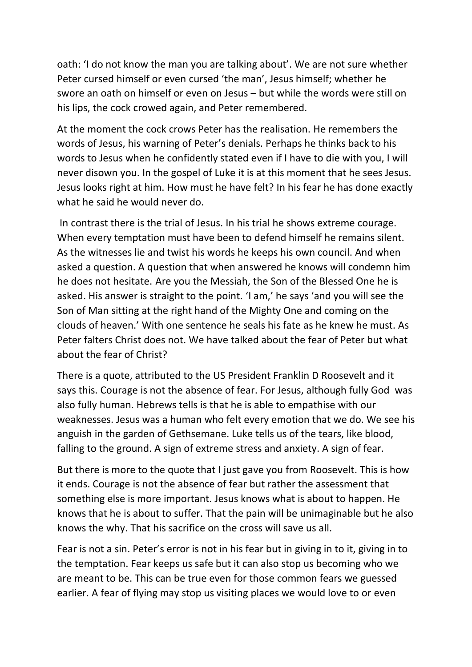oath: 'I do not know the man you are talking about'. We are not sure whether Peter cursed himself or even cursed 'the man', Jesus himself; whether he swore an oath on himself or even on Jesus – but while the words were still on his lips, the cock crowed again, and Peter remembered.

At the moment the cock crows Peter has the realisation. He remembers the words of Jesus, his warning of Peter's denials. Perhaps he thinks back to his words to Jesus when he confidently stated even if I have to die with you, I will never disown you. In the gospel of Luke it is at this moment that he sees Jesus. Jesus looks right at him. How must he have felt? In his fear he has done exactly what he said he would never do.

In contrast there is the trial of Jesus. In his trial he shows extreme courage. When every temptation must have been to defend himself he remains silent. As the witnesses lie and twist his words he keeps his own council. And when asked a question. A question that when answered he knows will condemn him he does not hesitate. Are you the Messiah, the Son of the Blessed One he is asked. His answer is straight to the point. 'I am,' he says 'and you will see the Son of Man sitting at the right hand of the Mighty One and coming on the clouds of heaven.' With one sentence he seals his fate as he knew he must. As Peter falters Christ does not. We have talked about the fear of Peter but what about the fear of Christ?

There is a quote, attributed to the US President Franklin D Roosevelt and it says this. Courage is not the absence of fear. For Jesus, although fully God was also fully human. Hebrews tells is that he is able to empathise with our weaknesses. Jesus was a human who felt every emotion that we do. We see his anguish in the garden of Gethsemane. Luke tells us of the tears, like blood, falling to the ground. A sign of extreme stress and anxiety. A sign of fear.

But there is more to the quote that I just gave you from Roosevelt. This is how it ends. Courage is not the absence of fear but rather the assessment that something else is more important. Jesus knows what is about to happen. He knows that he is about to suffer. That the pain will be unimaginable but he also knows the why. That his sacrifice on the cross will save us all.

Fear is not a sin. Peter's error is not in his fear but in giving in to it, giving in to the temptation. Fear keeps us safe but it can also stop us becoming who we are meant to be. This can be true even for those common fears we guessed earlier. A fear of flying may stop us visiting places we would love to or even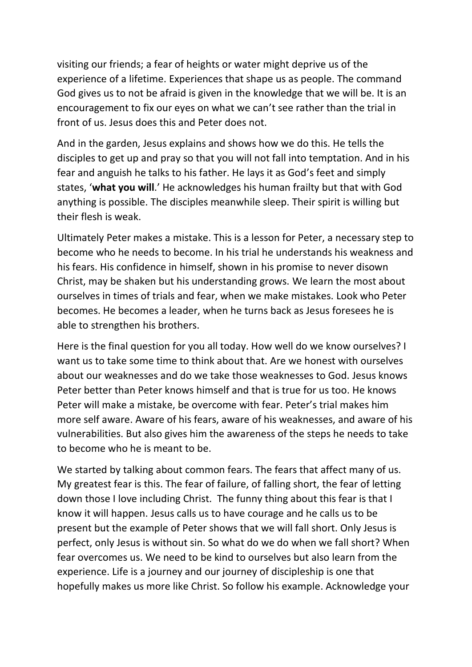visiting our friends; a fear of heights or water might deprive us of the experience of a lifetime. Experiences that shape us as people. The command God gives us to not be afraid is given in the knowledge that we will be. It is an encouragement to fix our eyes on what we can't see rather than the trial in front of us. Jesus does this and Peter does not.

And in the garden, Jesus explains and shows how we do this. He tells the disciples to get up and pray so that you will not fall into temptation. And in his fear and anguish he talks to his father. He lays it as God's feet and simply states, '**what you will**.' He acknowledges his human frailty but that with God anything is possible. The disciples meanwhile sleep. Their spirit is willing but their flesh is weak.

Ultimately Peter makes a mistake. This is a lesson for Peter, a necessary step to become who he needs to become. In his trial he understands his weakness and his fears. His confidence in himself, shown in his promise to never disown Christ, may be shaken but his understanding grows. We learn the most about ourselves in times of trials and fear, when we make mistakes. Look who Peter becomes. He becomes a leader, when he turns back as Jesus foresees he is able to strengthen his brothers.

Here is the final question for you all today. How well do we know ourselves? I want us to take some time to think about that. Are we honest with ourselves about our weaknesses and do we take those weaknesses to God. Jesus knows Peter better than Peter knows himself and that is true for us too. He knows Peter will make a mistake, be overcome with fear. Peter's trial makes him more self aware. Aware of his fears, aware of his weaknesses, and aware of his vulnerabilities. But also gives him the awareness of the steps he needs to take to become who he is meant to be.

We started by talking about common fears. The fears that affect many of us. My greatest fear is this. The fear of failure, of falling short, the fear of letting down those I love including Christ. The funny thing about this fear is that I know it will happen. Jesus calls us to have courage and he calls us to be present but the example of Peter shows that we will fall short. Only Jesus is perfect, only Jesus is without sin. So what do we do when we fall short? When fear overcomes us. We need to be kind to ourselves but also learn from the experience. Life is a journey and our journey of discipleship is one that hopefully makes us more like Christ. So follow his example. Acknowledge your